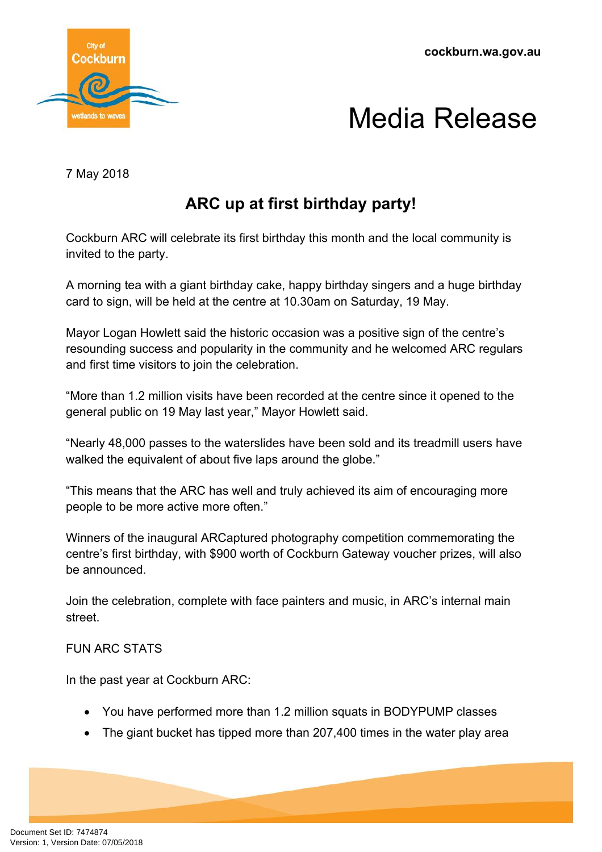

## Media Release

7 May 2018

## **ARC up at first birthday party!**

Cockburn ARC will celebrate its first birthday this month and the local community is invited to the party.

A morning tea with a giant birthday cake, happy birthday singers and a huge birthday card to sign, will be held at the centre at 10.30am on Saturday, 19 May.

Mayor Logan Howlett said the historic occasion was a positive sign of the centre's resounding success and popularity in the community and he welcomed ARC regulars and first time visitors to join the celebration.

"More than 1.2 million visits have been recorded at the centre since it opened to the general public on 19 May last year," Mayor Howlett said.

"Nearly 48,000 passes to the waterslides have been sold and its treadmill users have walked the equivalent of about five laps around the globe."

"This means that the ARC has well and truly achieved its aim of encouraging more people to be more active more often."

Winners of the inaugural ARCaptured photography competition commemorating the centre's first birthday, with \$900 worth of Cockburn Gateway voucher prizes, will also be announced.

Join the celebration, complete with face painters and music, in ARC's internal main street.

## FUN ARC STATS

In the past year at Cockburn ARC:

- You have performed more than 1.2 million squats in BODYPUMP classes
- The giant bucket has tipped more than 207,400 times in the water play area